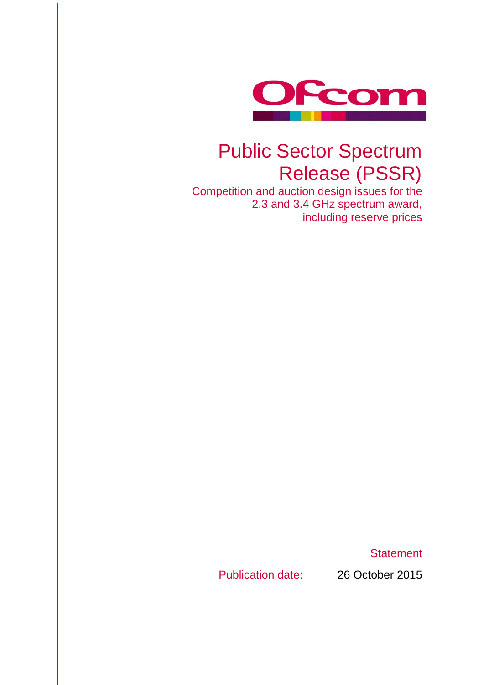

## Public Sector Spectrum Release (PSSR)

Competition and auction design issues for the 2.3 and 3.4 GHz spectrum award, including reserve prices

**Statement** 

Publication date: 26 October 2015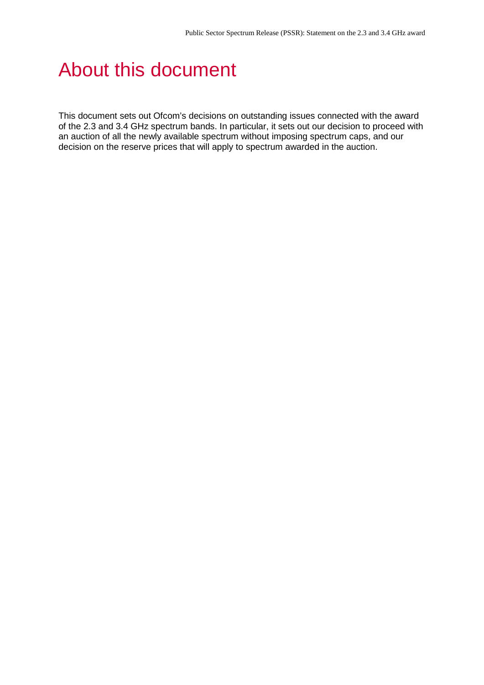## About this document

This document sets out Ofcom's decisions on outstanding issues connected with the award of the 2.3 and 3.4 GHz spectrum bands. In particular, it sets out our decision to proceed with an auction of all the newly available spectrum without imposing spectrum caps, and our decision on the reserve prices that will apply to spectrum awarded in the auction.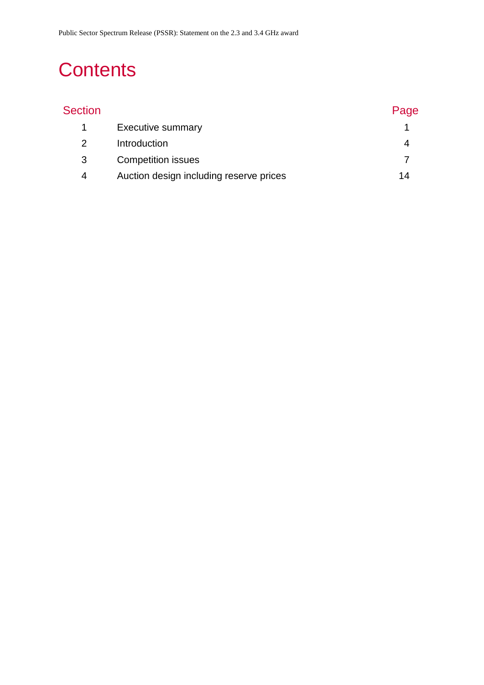# **Contents**

| <b>Section</b> |                                         | Page |
|----------------|-----------------------------------------|------|
|                | <b>Executive summary</b>                |      |
| 2              | Introduction                            | 4    |
| 3              | <b>Competition issues</b>               |      |
| 4              | Auction design including reserve prices | 14   |
|                |                                         |      |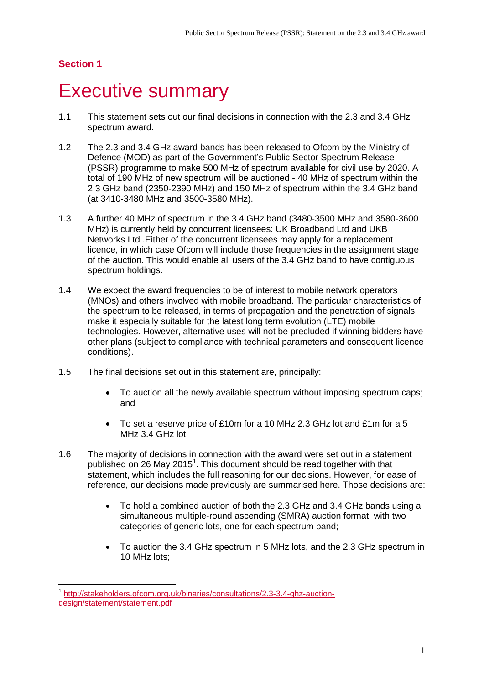<u>.</u>

## <span id="page-3-0"></span>**Executive summary**

- 1.1 This statement sets out our final decisions in connection with the 2.3 and 3.4 GHz spectrum award.
- 1.2 The 2.3 and 3.4 GHz award bands has been released to Ofcom by the Ministry of Defence (MOD) as part of the Government's Public Sector Spectrum Release (PSSR) programme to make 500 MHz of spectrum available for civil use by 2020. A total of 190 MHz of new spectrum will be auctioned - 40 MHz of spectrum within the 2.3 GHz band (2350-2390 MHz) and 150 MHz of spectrum within the 3.4 GHz band (at 3410-3480 MHz and 3500-3580 MHz).
- 1.3 A further 40 MHz of spectrum in the 3.4 GHz band (3480-3500 MHz and 3580-3600 MHz) is currently held by concurrent licensees: UK Broadband Ltd and UKB Networks Ltd .Either of the concurrent licensees may apply for a replacement licence, in which case Ofcom will include those frequencies in the assignment stage of the auction. This would enable all users of the 3.4 GHz band to have contiguous spectrum holdings.
- 1.4 We expect the award frequencies to be of interest to mobile network operators (MNOs) and others involved with mobile broadband. The particular characteristics of the spectrum to be released, in terms of propagation and the penetration of signals, make it especially suitable for the latest long term evolution (LTE) mobile technologies. However, alternative uses will not be precluded if winning bidders have other plans (subject to compliance with technical parameters and consequent licence conditions).
- 1.5 The final decisions set out in this statement are, principally:
	- To auction all the newly available spectrum without imposing spectrum caps; and
	- To set a reserve price of £10m for a 10 MHz 2.3 GHz lot and £1m for a 5 MHz 3.4 GHz lot
- 1.6 The majority of decisions in connection with the award were set out in a statement published on 26 May 20[1](#page-3-1)5<sup>1</sup>. This document should be read together with that statement, which includes the full reasoning for our decisions. However, for ease of reference, our decisions made previously are summarised here. Those decisions are:
	- To hold a combined auction of both the 2.3 GHz and 3.4 GHz bands using a simultaneous multiple-round ascending (SMRA) auction format, with two categories of generic lots, one for each spectrum band;
	- To auction the 3.4 GHz spectrum in 5 MHz lots, and the 2.3 GHz spectrum in 10 MHz lots;

<span id="page-3-1"></span><sup>1</sup> [http://stakeholders.ofcom.org.uk/binaries/consultations/2.3-3.4-ghz-auction](http://stakeholders.ofcom.org.uk/binaries/consultations/2.3-3.4-ghz-auction-design/statement/statement.pdf)[design/statement/statement.pdf](http://stakeholders.ofcom.org.uk/binaries/consultations/2.3-3.4-ghz-auction-design/statement/statement.pdf)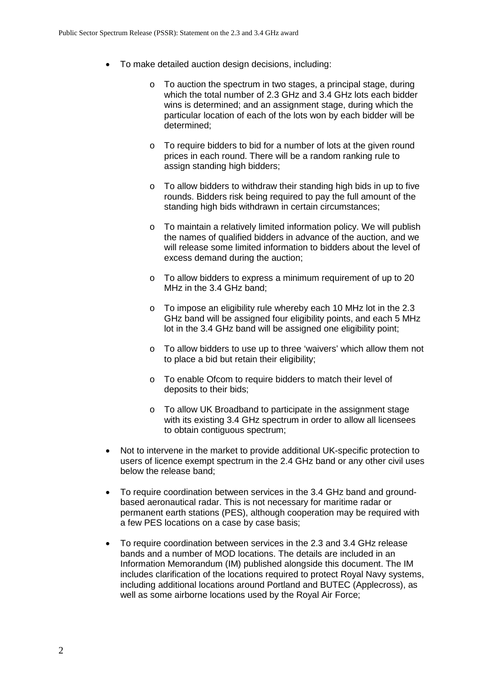- To make detailed auction design decisions, including:
	- o To auction the spectrum in two stages, a principal stage, during which the total number of 2.3 GHz and 3.4 GHz lots each bidder wins is determined; and an assignment stage, during which the particular location of each of the lots won by each bidder will be determined;
	- o To require bidders to bid for a number of lots at the given round prices in each round. There will be a random ranking rule to assign standing high bidders;
	- o To allow bidders to withdraw their standing high bids in up to five rounds. Bidders risk being required to pay the full amount of the standing high bids withdrawn in certain circumstances;
	- o To maintain a relatively limited information policy. We will publish the names of qualified bidders in advance of the auction, and we will release some limited information to bidders about the level of excess demand during the auction;
	- o To allow bidders to express a minimum requirement of up to 20 MHz in the 3.4 GHz band;
	- $\circ$  To impose an eligibility rule whereby each 10 MHz lot in the 2.3 GHz band will be assigned four eligibility points, and each 5 MHz lot in the 3.4 GHz band will be assigned one eligibility point;
	- o To allow bidders to use up to three 'waivers' which allow them not to place a bid but retain their eligibility;
	- o To enable Ofcom to require bidders to match their level of deposits to their bids;
	- o To allow UK Broadband to participate in the assignment stage with its existing 3.4 GHz spectrum in order to allow all licensees to obtain contiguous spectrum;
- Not to intervene in the market to provide additional UK-specific protection to users of licence exempt spectrum in the 2.4 GHz band or any other civil uses below the release band;
- To require coordination between services in the 3.4 GHz band and groundbased aeronautical radar. This is not necessary for maritime radar or permanent earth stations (PES), although cooperation may be required with a few PES locations on a case by case basis;
- To require coordination between services in the 2.3 and 3.4 GHz release bands and a number of MOD locations. The details are included in an Information Memorandum (IM) published alongside this document. The IM includes clarification of the locations required to protect Royal Navy systems, including additional locations around Portland and BUTEC (Applecross), as well as some airborne locations used by the Royal Air Force;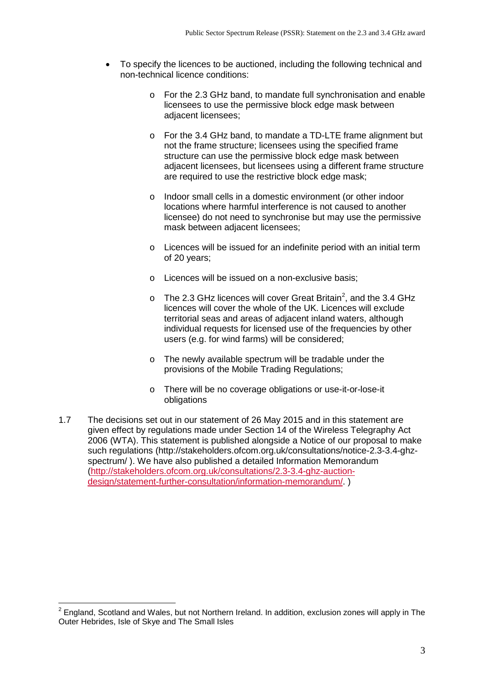- To specify the licences to be auctioned, including the following technical and non-technical licence conditions:
	- o For the 2.3 GHz band, to mandate full synchronisation and enable licensees to use the permissive block edge mask between adjacent licensees;
	- o For the 3.4 GHz band, to mandate a TD-LTE frame alignment but not the frame structure; licensees using the specified frame structure can use the permissive block edge mask between adjacent licensees, but licensees using a different frame structure are required to use the restrictive block edge mask;
	- o Indoor small cells in a domestic environment (or other indoor locations where harmful interference is not caused to another licensee) do not need to synchronise but may use the permissive mask between adjacent licensees;
	- o Licences will be issued for an indefinite period with an initial term of 20 years;
	- o Licences will be issued on a non-exclusive basis;
	- o The [2](#page-5-0).3 GHz licences will cover Great Britain<sup>2</sup>, and the 3.4 GHz licences will cover the whole of the UK. Licences will exclude territorial seas and areas of adjacent inland waters, although individual requests for licensed use of the frequencies by other users (e.g. for wind farms) will be considered;
	- o The newly available spectrum will be tradable under the provisions of the Mobile Trading Regulations;
	- o There will be no coverage obligations or use-it-or-lose-it obligations
- 1.7 The decisions set out in our statement of 26 May 2015 and in this statement are given effect by regulations made under Section 14 of the Wireless Telegraphy Act 2006 (WTA). This statement is published alongside a Notice of our proposal to make such regulations [\(http://stakeholders.ofcom.org.uk/consultations/notice-2.3-3.4-ghz](http://stakeholders.ofcom.org.uk/consultations/notice-2.3-3.4-ghz-spectrum/)[spectrum/](http://stakeholders.ofcom.org.uk/consultations/notice-2.3-3.4-ghz-spectrum/) ). We have also published a detailed Information Memorandum [\(http://stakeholders.ofcom.org.uk/consultations/2.3-3.4-ghz-auction](http://stakeholders.ofcom.org.uk/consultations/2.3-3.4-ghz-auction-design/statement-further-consultation/information-memorandum/)[design/statement-further-consultation/information-memorandum/.](http://stakeholders.ofcom.org.uk/consultations/2.3-3.4-ghz-auction-design/statement-further-consultation/information-memorandum/) )

<u>.</u>

<span id="page-5-0"></span> $2$  England, Scotland and Wales, but not Northern Ireland. In addition, exclusion zones will apply in The Outer Hebrides, Isle of Skye and The Small Isles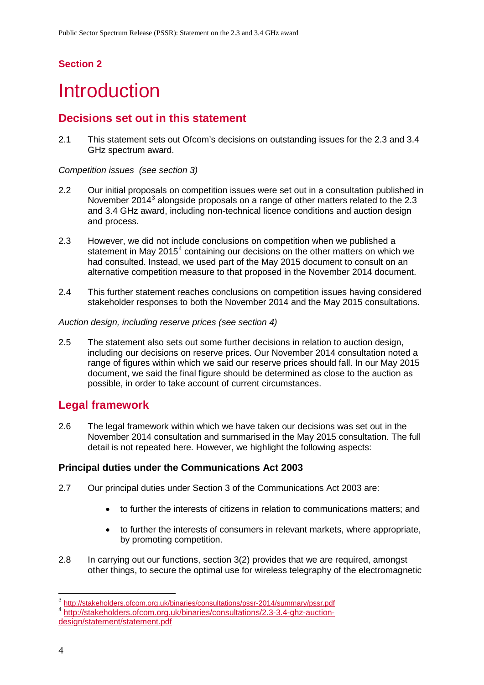# <span id="page-6-0"></span>**Introduction**

## **Decisions set out in this statement**

2.1 This statement sets out Ofcom's decisions on outstanding issues for the 2.3 and 3.4 GHz spectrum award.

*Competition issues (see section 3)*

- 2.2 Our initial proposals on competition issues were set out in a consultation published in November 2014 $3$  alongside proposals on a range of other matters related to the 2.3 and 3.4 GHz award, including non-technical licence conditions and auction design and process.
- 2.3 However, we did not include conclusions on competition when we published a statement in May 2015<sup>[4](#page-6-2)</sup> containing our decisions on the other matters on which we had consulted. Instead, we used part of the May 2015 document to consult on an alternative competition measure to that proposed in the November 2014 document.
- 2.4 This further statement reaches conclusions on competition issues having considered stakeholder responses to both the November 2014 and the May 2015 consultations.

#### *Auction design, including reserve prices (see section 4)*

2.5 The statement also sets out some further decisions in relation to auction design, including our decisions on reserve prices. Our November 2014 consultation noted a range of figures within which we said our reserve prices should fall. In our May 2015 document, we said the final figure should be determined as close to the auction as possible, in order to take account of current circumstances.

## **Legal framework**

2.6 The legal framework within which we have taken our decisions was set out in the November 2014 consultation and summarised in the May 2015 consultation. The full detail is not repeated here. However, we highlight the following aspects:

#### **Principal duties under the Communications Act 2003**

- 2.7 Our principal duties under Section 3 of the Communications Act 2003 are:
	- to further the interests of citizens in relation to communications matters; and
	- to further the interests of consumers in relevant markets, where appropriate, by promoting competition.
- 2.8 In carrying out our functions, section 3(2) provides that we are required, amongst other things, to secure the optimal use for wireless telegraphy of the electromagnetic

<span id="page-6-1"></span><sup>&</sup>lt;sup>3</sup> <http://stakeholders.ofcom.org.uk/binaries/consultations/pssr-2014/summary/pssr.pdf> 4 [http://stakeholders.ofcom.org.uk/binaries/consultations/2.3-3.4-ghz-auction-](http://stakeholders.ofcom.org.uk/binaries/consultations/2.3-3.4-ghz-auction-design/statement/statement.pdf) $\overline{a}$ 

<span id="page-6-2"></span>[design/statement/statement.pdf](http://stakeholders.ofcom.org.uk/binaries/consultations/2.3-3.4-ghz-auction-design/statement/statement.pdf)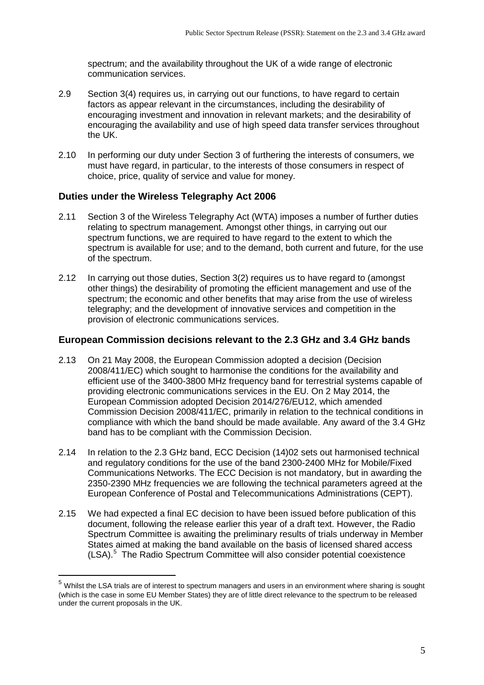spectrum; and the availability throughout the UK of a wide range of electronic communication services.

- 2.9 Section 3(4) requires us, in carrying out our functions, to have regard to certain factors as appear relevant in the circumstances, including the desirability of encouraging investment and innovation in relevant markets; and the desirability of encouraging the availability and use of high speed data transfer services throughout the UK.
- 2.10 In performing our duty under Section 3 of furthering the interests of consumers, we must have regard, in particular, to the interests of those consumers in respect of choice, price, quality of service and value for money.

#### **Duties under the Wireless Telegraphy Act 2006**

<u>.</u>

- 2.11 Section 3 of the Wireless Telegraphy Act (WTA) imposes a number of further duties relating to spectrum management. Amongst other things, in carrying out our spectrum functions, we are required to have regard to the extent to which the spectrum is available for use; and to the demand, both current and future, for the use of the spectrum.
- 2.12 In carrying out those duties, Section 3(2) requires us to have regard to (amongst other things) the desirability of promoting the efficient management and use of the spectrum; the economic and other benefits that may arise from the use of wireless telegraphy; and the development of innovative services and competition in the provision of electronic communications services.

#### **European Commission decisions relevant to the 2.3 GHz and 3.4 GHz bands**

- 2.13 On 21 May 2008, the European Commission adopted a decision (Decision 2008/411/EC) which sought to harmonise the conditions for the availability and efficient use of the 3400-3800 MHz frequency band for terrestrial systems capable of providing electronic communications services in the EU. On 2 May 2014, the European Commission adopted Decision 2014/276/EU12, which amended Commission Decision 2008/411/EC, primarily in relation to the technical conditions in compliance with which the band should be made available. Any award of the 3.4 GHz band has to be compliant with the Commission Decision.
- 2.14 In relation to the 2.3 GHz band, ECC Decision (14)02 sets out harmonised technical and regulatory conditions for the use of the band 2300-2400 MHz for Mobile/Fixed Communications Networks. The ECC Decision is not mandatory, but in awarding the 2350-2390 MHz frequencies we are following the technical parameters agreed at the European Conference of Postal and Telecommunications Administrations (CEPT).
- 2.15 We had expected a final EC decision to have been issued before publication of this document, following the release earlier this year of a draft text. However, the Radio Spectrum Committee is awaiting the preliminary results of trials underway in Member States aimed at making the band available on the basis of licensed shared access (LSA).[5](#page-7-0) The Radio Spectrum Committee will also consider potential coexistence

<span id="page-7-0"></span><sup>5</sup> Whilst the LSA trials are of interest to spectrum managers and users in an environment where sharing is sought (which is the case in some EU Member States) they are of little direct relevance to the spectrum to be released under the current proposals in the UK.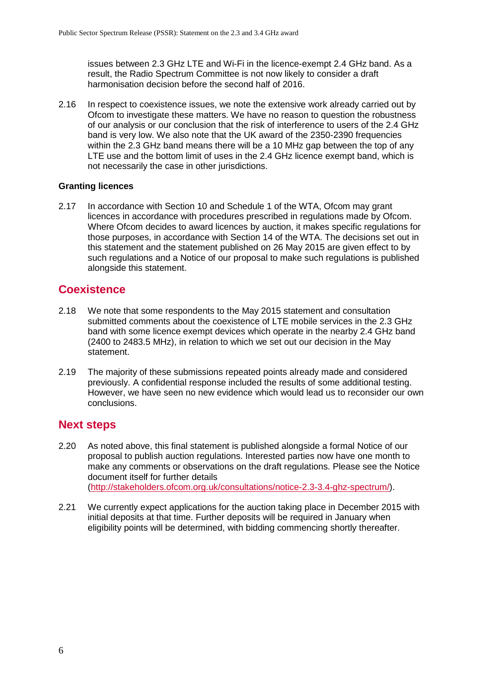issues between 2.3 GHz LTE and Wi-Fi in the licence-exempt 2.4 GHz band. As a result, the Radio Spectrum Committee is not now likely to consider a draft harmonisation decision before the second half of 2016.

2.16 In respect to coexistence issues, we note the extensive work already carried out by Ofcom to investigate these matters. We have no reason to question the robustness of our analysis or our conclusion that the risk of interference to users of the 2.4 GHz band is very low. We also note that the UK award of the 2350-2390 frequencies within the 2.3 GHz band means there will be a 10 MHz gap between the top of any LTE use and the bottom limit of uses in the 2.4 GHz licence exempt band, which is not necessarily the case in other jurisdictions.

#### **Granting licences**

2.17 In accordance with Section 10 and Schedule 1 of the WTA, Ofcom may grant licences in accordance with procedures prescribed in regulations made by Ofcom. Where Ofcom decides to award licences by auction, it makes specific regulations for those purposes, in accordance with Section 14 of the WTA. The decisions set out in this statement and the statement published on 26 May 2015 are given effect to by such regulations and a Notice of our proposal to make such regulations is published alongside this statement.

### **Coexistence**

- 2.18 We note that some respondents to the May 2015 statement and consultation submitted comments about the coexistence of LTE mobile services in the 2.3 GHz band with some licence exempt devices which operate in the nearby 2.4 GHz band (2400 to 2483.5 MHz), in relation to which we set out our decision in the May statement.
- 2.19 The majority of these submissions repeated points already made and considered previously. A confidential response included the results of some additional testing. However, we have seen no new evidence which would lead us to reconsider our own conclusions.

#### **Next steps**

- 2.20 As noted above, this final statement is published alongside a formal Notice of our proposal to publish auction regulations. Interested parties now have one month to make any comments or observations on the draft regulations. Please see the Notice document itself for further details [\(http://stakeholders.ofcom.org.uk/consultations/notice-2.3-3.4-ghz-spectrum/\)](http://stakeholders.ofcom.org.uk/consultations/notice-2.3-3.4-ghz-spectrum/).
- 2.21 We currently expect applications for the auction taking place in December 2015 with initial deposits at that time. Further deposits will be required in January when eligibility points will be determined, with bidding commencing shortly thereafter.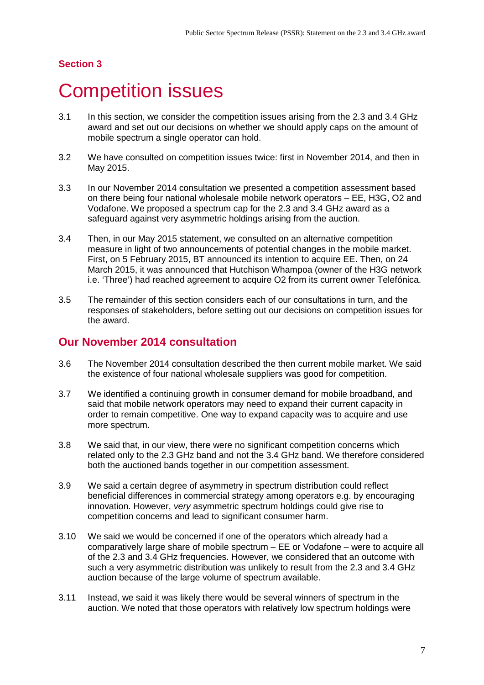## <span id="page-9-0"></span>**Competition issues**

- 3.1 In this section, we consider the competition issues arising from the 2.3 and 3.4 GHz award and set out our decisions on whether we should apply caps on the amount of mobile spectrum a single operator can hold.
- 3.2 We have consulted on competition issues twice: first in November 2014, and then in May 2015.
- 3.3 In our November 2014 consultation we presented a competition assessment based on there being four national wholesale mobile network operators – EE, H3G, O2 and Vodafone. We proposed a spectrum cap for the 2.3 and 3.4 GHz award as a safeguard against very asymmetric holdings arising from the auction.
- 3.4 Then, in our May 2015 statement, we consulted on an alternative competition measure in light of two announcements of potential changes in the mobile market. First, on 5 February 2015, BT announced its intention to acquire EE. Then, on 24 March 2015, it was announced that Hutchison Whampoa (owner of the H3G network i.e. 'Three') had reached agreement to acquire O2 from its current owner Telefónica.
- 3.5 The remainder of this section considers each of our consultations in turn, and the responses of stakeholders, before setting out our decisions on competition issues for the award.

## **Our November 2014 consultation**

- 3.6 The November 2014 consultation described the then current mobile market. We said the existence of four national wholesale suppliers was good for competition.
- 3.7 We identified a continuing growth in consumer demand for mobile broadband, and said that mobile network operators may need to expand their current capacity in order to remain competitive. One way to expand capacity was to acquire and use more spectrum.
- 3.8 We said that, in our view, there were no significant competition concerns which related only to the 2.3 GHz band and not the 3.4 GHz band. We therefore considered both the auctioned bands together in our competition assessment.
- 3.9 We said a certain degree of asymmetry in spectrum distribution could reflect beneficial differences in commercial strategy among operators e.g. by encouraging innovation. However, *very* asymmetric spectrum holdings could give rise to competition concerns and lead to significant consumer harm.
- 3.10 We said we would be concerned if one of the operators which already had a comparatively large share of mobile spectrum – EE or Vodafone – were to acquire all of the 2.3 and 3.4 GHz frequencies. However, we considered that an outcome with such a very asymmetric distribution was unlikely to result from the 2.3 and 3.4 GHz auction because of the large volume of spectrum available.
- 3.11 Instead, we said it was likely there would be several winners of spectrum in the auction. We noted that those operators with relatively low spectrum holdings were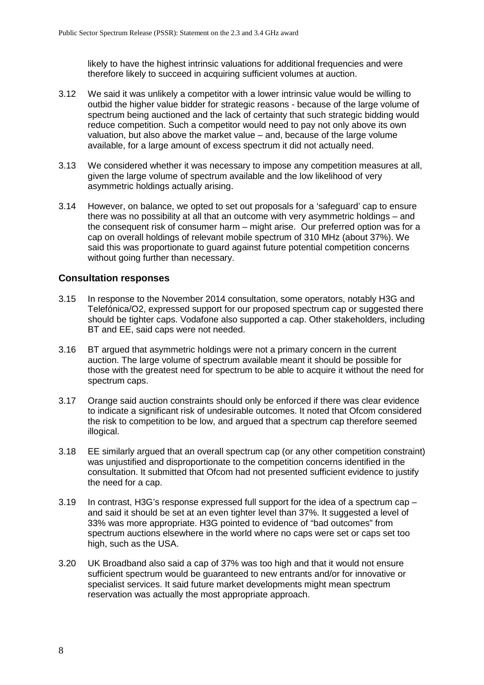likely to have the highest intrinsic valuations for additional frequencies and were therefore likely to succeed in acquiring sufficient volumes at auction.

- 3.12 We said it was unlikely a competitor with a lower intrinsic value would be willing to outbid the higher value bidder for strategic reasons - because of the large volume of spectrum being auctioned and the lack of certainty that such strategic bidding would reduce competition. Such a competitor would need to pay not only above its own valuation, but also above the market value – and, because of the large volume available, for a large amount of excess spectrum it did not actually need.
- 3.13 We considered whether it was necessary to impose any competition measures at all, given the large volume of spectrum available and the low likelihood of very asymmetric holdings actually arising.
- 3.14 However, on balance, we opted to set out proposals for a 'safeguard' cap to ensure there was no possibility at all that an outcome with very asymmetric holdings – and the consequent risk of consumer harm – might arise. Our preferred option was for a cap on overall holdings of relevant mobile spectrum of 310 MHz (about 37%). We said this was proportionate to guard against future potential competition concerns without going further than necessary.

#### **Consultation responses**

- 3.15 In response to the November 2014 consultation, some operators, notably H3G and Telefónica/O2, expressed support for our proposed spectrum cap or suggested there should be tighter caps. Vodafone also supported a cap. Other stakeholders, including BT and EE, said caps were not needed.
- 3.16 BT argued that asymmetric holdings were not a primary concern in the current auction. The large volume of spectrum available meant it should be possible for those with the greatest need for spectrum to be able to acquire it without the need for spectrum caps.
- 3.17 Orange said auction constraints should only be enforced if there was clear evidence to indicate a significant risk of undesirable outcomes. It noted that Ofcom considered the risk to competition to be low, and argued that a spectrum cap therefore seemed illogical.
- 3.18 EE similarly argued that an overall spectrum cap (or any other competition constraint) was unjustified and disproportionate to the competition concerns identified in the consultation. It submitted that Ofcom had not presented sufficient evidence to justify the need for a cap.
- 3.19 In contrast, H3G's response expressed full support for the idea of a spectrum cap and said it should be set at an even tighter level than 37%. It suggested a level of 33% was more appropriate. H3G pointed to evidence of "bad outcomes" from spectrum auctions elsewhere in the world where no caps were set or caps set too high, such as the USA.
- 3.20 UK Broadband also said a cap of 37% was too high and that it would not ensure sufficient spectrum would be guaranteed to new entrants and/or for innovative or specialist services. It said future market developments might mean spectrum reservation was actually the most appropriate approach.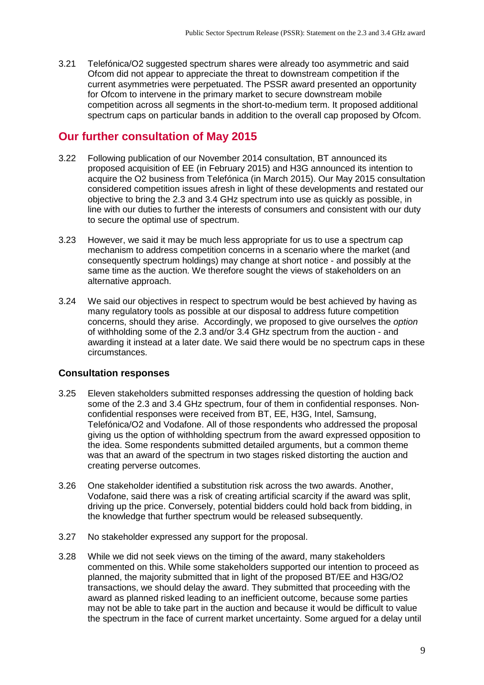3.21 Telefónica/O2 suggested spectrum shares were already too asymmetric and said Ofcom did not appear to appreciate the threat to downstream competition if the current asymmetries were perpetuated. The PSSR award presented an opportunity for Ofcom to intervene in the primary market to secure downstream mobile competition across all segments in the short-to-medium term. It proposed additional spectrum caps on particular bands in addition to the overall cap proposed by Ofcom.

## **Our further consultation of May 2015**

- 3.22 Following publication of our November 2014 consultation, BT announced its proposed acquisition of EE (in February 2015) and H3G announced its intention to acquire the O2 business from Telefónica (in March 2015). Our May 2015 consultation considered competition issues afresh in light of these developments and restated our objective to bring the 2.3 and 3.4 GHz spectrum into use as quickly as possible, in line with our duties to further the interests of consumers and consistent with our duty to secure the optimal use of spectrum.
- 3.23 However, we said it may be much less appropriate for us to use a spectrum cap mechanism to address competition concerns in a scenario where the market (and consequently spectrum holdings) may change at short notice - and possibly at the same time as the auction. We therefore sought the views of stakeholders on an alternative approach.
- 3.24 We said our objectives in respect to spectrum would be best achieved by having as many regulatory tools as possible at our disposal to address future competition concerns, should they arise. Accordingly, we proposed to give ourselves the *option*  of withholding some of the 2.3 and/or 3.4 GHz spectrum from the auction - and awarding it instead at a later date. We said there would be no spectrum caps in these circumstances.

#### **Consultation responses**

- 3.25 Eleven stakeholders submitted responses addressing the question of holding back some of the 2.3 and 3.4 GHz spectrum, four of them in confidential responses. Nonconfidential responses were received from BT, EE, H3G, Intel, Samsung, Telefónica/O2 and Vodafone. All of those respondents who addressed the proposal giving us the option of withholding spectrum from the award expressed opposition to the idea. Some respondents submitted detailed arguments, but a common theme was that an award of the spectrum in two stages risked distorting the auction and creating perverse outcomes.
- 3.26 One stakeholder identified a substitution risk across the two awards. Another, Vodafone, said there was a risk of creating artificial scarcity if the award was split, driving up the price. Conversely, potential bidders could hold back from bidding, in the knowledge that further spectrum would be released subsequently.
- 3.27 No stakeholder expressed any support for the proposal.
- 3.28 While we did not seek views on the timing of the award, many stakeholders commented on this. While some stakeholders supported our intention to proceed as planned, the majority submitted that in light of the proposed BT/EE and H3G/O2 transactions, we should delay the award. They submitted that proceeding with the award as planned risked leading to an inefficient outcome, because some parties may not be able to take part in the auction and because it would be difficult to value the spectrum in the face of current market uncertainty. Some argued for a delay until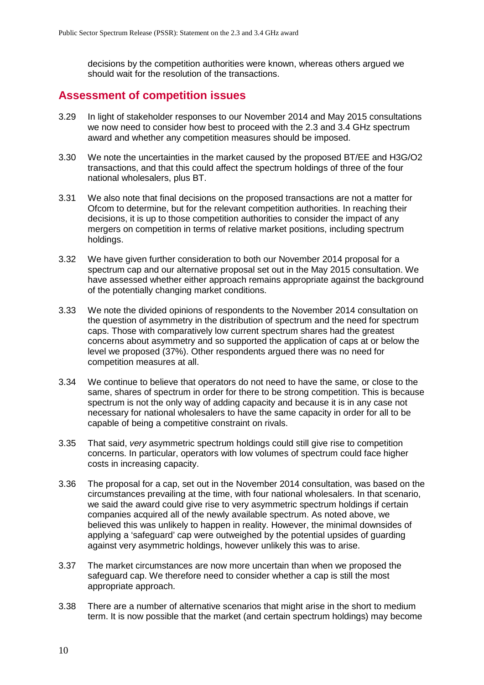decisions by the competition authorities were known, whereas others argued we should wait for the resolution of the transactions.

## **Assessment of competition issues**

- 3.29 In light of stakeholder responses to our November 2014 and May 2015 consultations we now need to consider how best to proceed with the 2.3 and 3.4 GHz spectrum award and whether any competition measures should be imposed.
- 3.30 We note the uncertainties in the market caused by the proposed BT/EE and H3G/O2 transactions, and that this could affect the spectrum holdings of three of the four national wholesalers, plus BT.
- 3.31 We also note that final decisions on the proposed transactions are not a matter for Ofcom to determine, but for the relevant competition authorities. In reaching their decisions, it is up to those competition authorities to consider the impact of any mergers on competition in terms of relative market positions, including spectrum holdings.
- 3.32 We have given further consideration to both our November 2014 proposal for a spectrum cap and our alternative proposal set out in the May 2015 consultation. We have assessed whether either approach remains appropriate against the background of the potentially changing market conditions.
- 3.33 We note the divided opinions of respondents to the November 2014 consultation on the question of asymmetry in the distribution of spectrum and the need for spectrum caps. Those with comparatively low current spectrum shares had the greatest concerns about asymmetry and so supported the application of caps at or below the level we proposed (37%). Other respondents argued there was no need for competition measures at all.
- 3.34 We continue to believe that operators do not need to have the same, or close to the same, shares of spectrum in order for there to be strong competition. This is because spectrum is not the only way of adding capacity and because it is in any case not necessary for national wholesalers to have the same capacity in order for all to be capable of being a competitive constraint on rivals.
- 3.35 That said, *very* asymmetric spectrum holdings could still give rise to competition concerns. In particular, operators with low volumes of spectrum could face higher costs in increasing capacity.
- 3.36 The proposal for a cap, set out in the November 2014 consultation, was based on the circumstances prevailing at the time, with four national wholesalers. In that scenario, we said the award could give rise to very asymmetric spectrum holdings if certain companies acquired all of the newly available spectrum. As noted above, we believed this was unlikely to happen in reality. However, the minimal downsides of applying a 'safeguard' cap were outweighed by the potential upsides of guarding against very asymmetric holdings, however unlikely this was to arise.
- 3.37 The market circumstances are now more uncertain than when we proposed the safeguard cap. We therefore need to consider whether a cap is still the most appropriate approach.
- 3.38 There are a number of alternative scenarios that might arise in the short to medium term. It is now possible that the market (and certain spectrum holdings) may become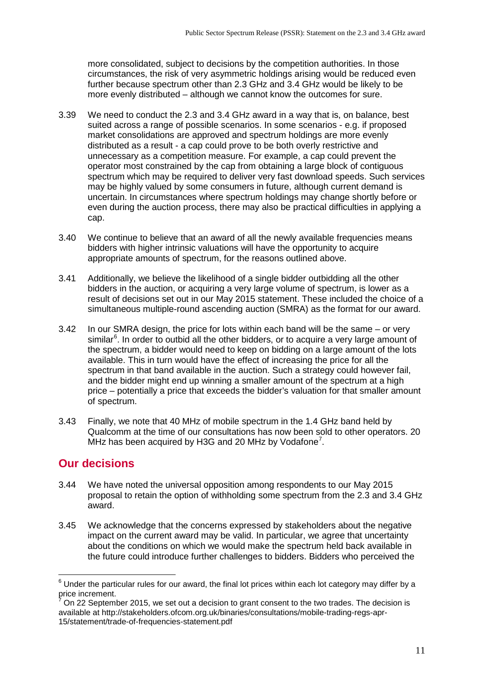more consolidated, subject to decisions by the competition authorities. In those circumstances, the risk of very asymmetric holdings arising would be reduced even further because spectrum other than 2.3 GHz and 3.4 GHz would be likely to be more evenly distributed – although we cannot know the outcomes for sure.

- 3.39 We need to conduct the 2.3 and 3.4 GHz award in a way that is, on balance, best suited across a range of possible scenarios. In some scenarios - e.g. if proposed market consolidations are approved and spectrum holdings are more evenly distributed as a result - a cap could prove to be both overly restrictive and unnecessary as a competition measure. For example, a cap could prevent the operator most constrained by the cap from obtaining a large block of contiguous spectrum which may be required to deliver very fast download speeds. Such services may be highly valued by some consumers in future, although current demand is uncertain. In circumstances where spectrum holdings may change shortly before or even during the auction process, there may also be practical difficulties in applying a cap.
- 3.40 We continue to believe that an award of all the newly available frequencies means bidders with higher intrinsic valuations will have the opportunity to acquire appropriate amounts of spectrum, for the reasons outlined above.
- 3.41 Additionally, we believe the likelihood of a single bidder outbidding all the other bidders in the auction, or acquiring a very large volume of spectrum, is lower as a result of decisions set out in our May 2015 statement. These included the choice of a simultaneous multiple-round ascending auction (SMRA) as the format for our award.
- 3.42 In our SMRA design, the price for lots within each band will be the same or very similar<sup>[6](#page-13-0)</sup>. In order to outbid all the other bidders, or to acquire a very large amount of the spectrum, a bidder would need to keep on bidding on a large amount of the lots available. This in turn would have the effect of increasing the price for all the spectrum in that band available in the auction. Such a strategy could however fail, and the bidder might end up winning a smaller amount of the spectrum at a high price – potentially a price that exceeds the bidder's valuation for that smaller amount of spectrum.
- 3.43 Finally, we note that 40 MHz of mobile spectrum in the 1.4 GHz band held by Qualcomm at the time of our consultations has now been sold to other operators. 20 MHz has been acquired by H3G and 20 MHz by Vodafone<sup>[7](#page-13-1)</sup>.

## **Our decisions**

 $\overline{a}$ 

- 3.44 We have noted the universal opposition among respondents to our May 2015 proposal to retain the option of withholding some spectrum from the 2.3 and 3.4 GHz award.
- 3.45 We acknowledge that the concerns expressed by stakeholders about the negative impact on the current award may be valid. In particular, we agree that uncertainty about the conditions on which we would make the spectrum held back available in the future could introduce further challenges to bidders. Bidders who perceived the

<span id="page-13-0"></span> $^6$  Under the particular rules for our award, the final lot prices within each lot category may differ by a price increment.

<span id="page-13-1"></span><sup>7</sup> On 22 September 2015, we set out a decision to grant consent to the two trades. The decision is available at http://stakeholders.ofcom.org.uk/binaries/consultations/mobile-trading-regs-apr-15/statement/trade-of-frequencies-statement.pdf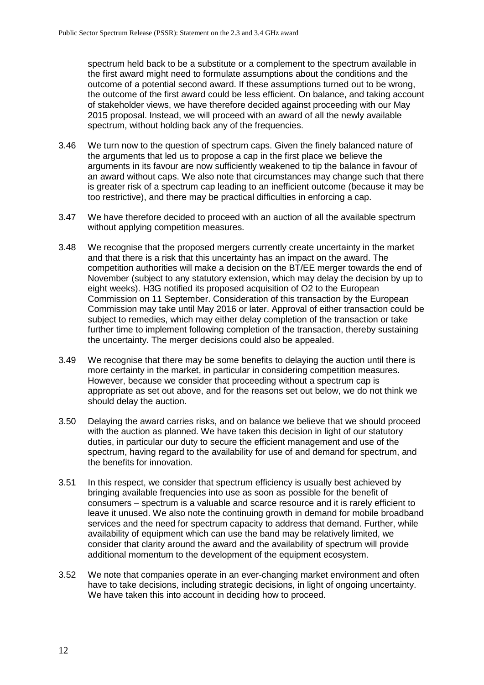spectrum held back to be a substitute or a complement to the spectrum available in the first award might need to formulate assumptions about the conditions and the outcome of a potential second award. If these assumptions turned out to be wrong, the outcome of the first award could be less efficient. On balance, and taking account of stakeholder views, we have therefore decided against proceeding with our May 2015 proposal. Instead, we will proceed with an award of all the newly available spectrum, without holding back any of the frequencies.

- 3.46 We turn now to the question of spectrum caps. Given the finely balanced nature of the arguments that led us to propose a cap in the first place we believe the arguments in its favour are now sufficiently weakened to tip the balance in favour of an award without caps. We also note that circumstances may change such that there is greater risk of a spectrum cap leading to an inefficient outcome (because it may be too restrictive), and there may be practical difficulties in enforcing a cap.
- 3.47 We have therefore decided to proceed with an auction of all the available spectrum without applying competition measures.
- 3.48 We recognise that the proposed mergers currently create uncertainty in the market and that there is a risk that this uncertainty has an impact on the award. The competition authorities will make a decision on the BT/EE merger towards the end of November (subject to any statutory extension, which may delay the decision by up to eight weeks). H3G notified its proposed acquisition of O2 to the European Commission on 11 September. Consideration of this transaction by the European Commission may take until May 2016 or later. Approval of either transaction could be subject to remedies, which may either delay completion of the transaction or take further time to implement following completion of the transaction, thereby sustaining the uncertainty. The merger decisions could also be appealed.
- 3.49 We recognise that there may be some benefits to delaying the auction until there is more certainty in the market, in particular in considering competition measures. However, because we consider that proceeding without a spectrum cap is appropriate as set out above, and for the reasons set out below, we do not think we should delay the auction.
- 3.50 Delaying the award carries risks, and on balance we believe that we should proceed with the auction as planned. We have taken this decision in light of our statutory duties, in particular our duty to secure the efficient management and use of the spectrum, having regard to the availability for use of and demand for spectrum, and the benefits for innovation.
- 3.51 In this respect, we consider that spectrum efficiency is usually best achieved by bringing available frequencies into use as soon as possible for the benefit of consumers – spectrum is a valuable and scarce resource and it is rarely efficient to leave it unused. We also note the continuing growth in demand for mobile broadband services and the need for spectrum capacity to address that demand. Further, while availability of equipment which can use the band may be relatively limited, we consider that clarity around the award and the availability of spectrum will provide additional momentum to the development of the equipment ecosystem.
- 3.52 We note that companies operate in an ever-changing market environment and often have to take decisions, including strategic decisions, in light of ongoing uncertainty. We have taken this into account in deciding how to proceed.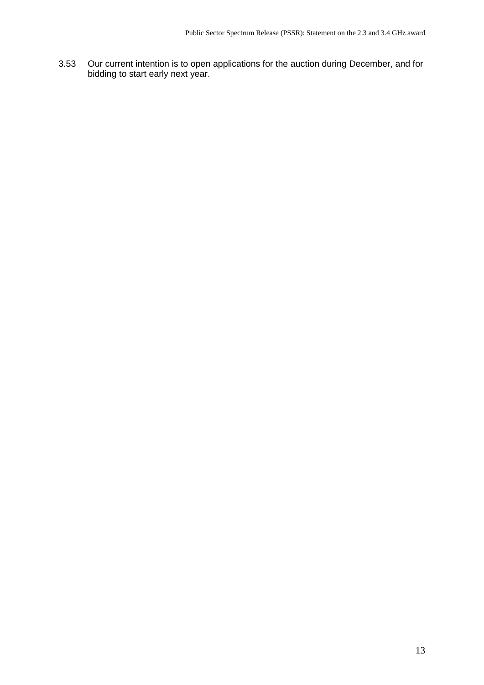3.53 Our current intention is to open applications for the auction during December, and for bidding to start early next year.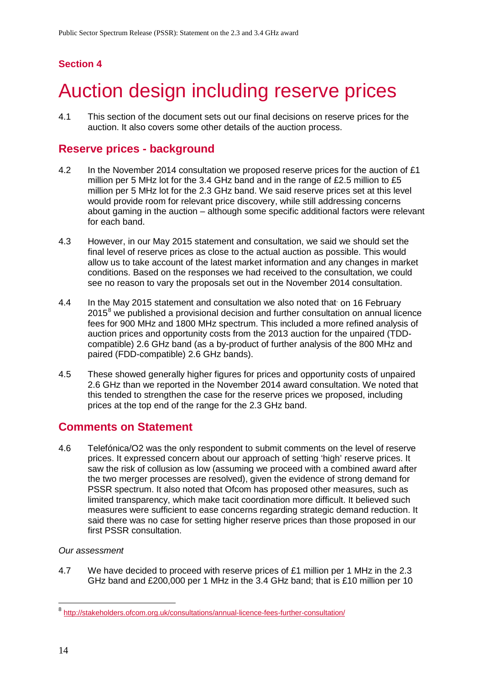# <span id="page-16-0"></span>4 Auction design including reserve prices

4.1 This section of the document sets out our final decisions on reserve prices for the auction. It also covers some other details of the auction process.

## **Reserve prices - background**

- 4.2 In the November 2014 consultation we proposed reserve prices for the auction of £1 million per 5 MHz lot for the 3.4 GHz band and in the range of £2.5 million to £5 million per 5 MHz lot for the 2.3 GHz band. We said reserve prices set at this level would provide room for relevant price discovery, while still addressing concerns about gaming in the auction – although some specific additional factors were relevant for each band.
- 4.3 However, in our May 2015 statement and consultation, we said we should set the final level of reserve prices as close to the actual auction as possible. This would allow us to take account of the latest market information and any changes in market conditions. Based on the responses we had received to the consultation, we could see no reason to vary the proposals set out in the November 2014 consultation.
- 4.4 In the May 2015 statement and consultation we also noted that on 16 February  $2015<sup>8</sup>$  $2015<sup>8</sup>$  $2015<sup>8</sup>$  we published a provisional decision and further consultation on annual licence fees for 900 MHz and 1800 MHz spectrum. This included a more refined analysis of auction prices and opportunity costs from the 2013 auction for the unpaired (TDDcompatible) 2.6 GHz band (as a by-product of further analysis of the 800 MHz and paired (FDD-compatible) 2.6 GHz bands).
- 4.5 These showed generally higher figures for prices and opportunity costs of unpaired 2.6 GHz than we reported in the November 2014 award consultation. We noted that this tended to strengthen the case for the reserve prices we proposed, including prices at the top end of the range for the 2.3 GHz band.

## **Comments on Statement**

4.6 Telefónica/O2 was the only respondent to submit comments on the level of reserve prices. It expressed concern about our approach of setting 'high' reserve prices. It saw the risk of collusion as low (assuming we proceed with a combined award after the two merger processes are resolved), given the evidence of strong demand for PSSR spectrum. It also noted that Ofcom has proposed other measures, such as limited transparency, which make tacit coordination more difficult. It believed such measures were sufficient to ease concerns regarding strategic demand reduction. It said there was no case for setting higher reserve prices than those proposed in our first PSSR consultation.

#### *Our assessment*

4.7 We have decided to proceed with reserve prices of £1 million per 1 MHz in the 2.3 GHz band and £200,000 per 1 MHz in the 3.4 GHz band; that is £10 million per 10

<u>.</u>

<span id="page-16-1"></span><sup>&</sup>lt;sup>8</sup> <http://stakeholders.ofcom.org.uk/consultations/annual-licence-fees-further-consultation/>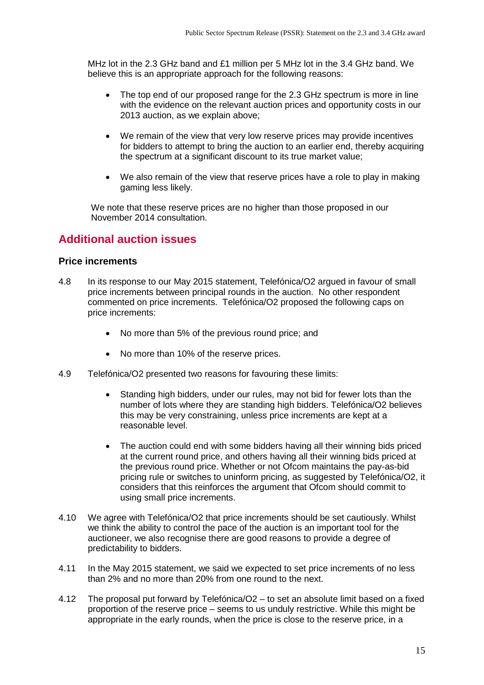MHz lot in the 2.3 GHz band and £1 million per 5 MHz lot in the 3.4 GHz band. We believe this is an appropriate approach for the following reasons:

- The top end of our proposed range for the 2.3 GHz spectrum is more in line with the evidence on the relevant auction prices and opportunity costs in our 2013 auction, as we explain above;
- We remain of the view that very low reserve prices may provide incentives for bidders to attempt to bring the auction to an earlier end, thereby acquiring the spectrum at a significant discount to its true market value;
- We also remain of the view that reserve prices have a role to play in making gaming less likely.

We note that these reserve prices are no higher than those proposed in our November 2014 consultation.

## **Additional auction issues**

#### **Price increments**

- 4.8 In its response to our May 2015 statement, Telefónica/O2 argued in favour of small price increments between principal rounds in the auction. No other respondent commented on price increments. Telefónica/O2 proposed the following caps on price increments:
	- No more than 5% of the previous round price: and
	- No more than 10% of the reserve prices.
- 4.9 Telefónica/O2 presented two reasons for favouring these limits:
	- Standing high bidders, under our rules, may not bid for fewer lots than the number of lots where they are standing high bidders. Telefónica/O2 believes this may be very constraining, unless price increments are kept at a reasonable level.
	- The auction could end with some bidders having all their winning bids priced at the current round price, and others having all their winning bids priced at the previous round price. Whether or not Ofcom maintains the pay-as-bid pricing rule or switches to uninform pricing, as suggested by Telefónica/O2, it considers that this reinforces the argument that Ofcom should commit to using small price increments.
- 4.10 We agree with Telefónica/O2 that price increments should be set cautiously. Whilst we think the ability to control the pace of the auction is an important tool for the auctioneer, we also recognise there are good reasons to provide a degree of predictability to bidders.
- 4.11 In the May 2015 statement, we said we expected to set price increments of no less than 2% and no more than 20% from one round to the next.
- 4.12 The proposal put forward by Telefónica/O2 to set an absolute limit based on a fixed proportion of the reserve price – seems to us unduly restrictive. While this might be appropriate in the early rounds, when the price is close to the reserve price, in a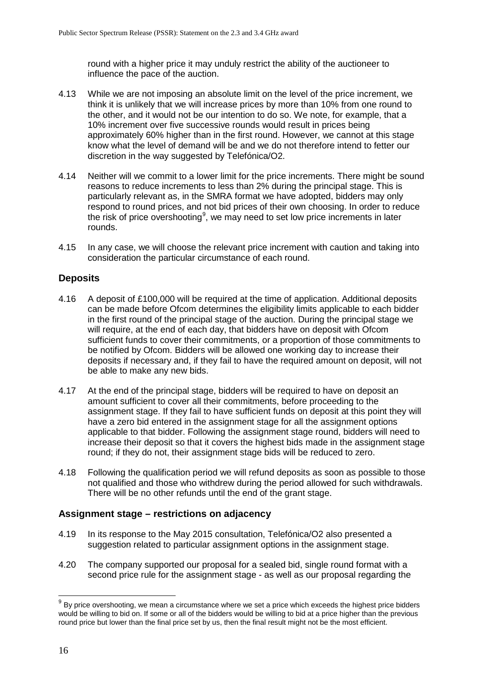round with a higher price it may unduly restrict the ability of the auctioneer to influence the pace of the auction.

- 4.13 While we are not imposing an absolute limit on the level of the price increment, we think it is unlikely that we will increase prices by more than 10% from one round to the other, and it would not be our intention to do so. We note, for example, that a 10% increment over five successive rounds would result in prices being approximately 60% higher than in the first round. However, we cannot at this stage know what the level of demand will be and we do not therefore intend to fetter our discretion in the way suggested by Telefónica/O2.
- 4.14 Neither will we commit to a lower limit for the price increments. There might be sound reasons to reduce increments to less than 2% during the principal stage. This is particularly relevant as, in the SMRA format we have adopted, bidders may only respond to round prices, and not bid prices of their own choosing. In order to reduce the risk of price overshooting<sup>[9](#page-18-0)</sup>, we may need to set low price increments in later rounds.
- 4.15 In any case, we will choose the relevant price increment with caution and taking into consideration the particular circumstance of each round.

#### **Deposits**

- 4.16 A deposit of £100,000 will be required at the time of application. Additional deposits can be made before Ofcom determines the eligibility limits applicable to each bidder in the first round of the principal stage of the auction. During the principal stage we will require, at the end of each day, that bidders have on deposit with Ofcom sufficient funds to cover their commitments, or a proportion of those commitments to be notified by Ofcom. Bidders will be allowed one working day to increase their deposits if necessary and, if they fail to have the required amount on deposit, will not be able to make any new bids.
- 4.17 At the end of the principal stage, bidders will be required to have on deposit an amount sufficient to cover all their commitments, before proceeding to the assignment stage. If they fail to have sufficient funds on deposit at this point they will have a zero bid entered in the assignment stage for all the assignment options applicable to that bidder. Following the assignment stage round, bidders will need to increase their deposit so that it covers the highest bids made in the assignment stage round; if they do not, their assignment stage bids will be reduced to zero.
- 4.18 Following the qualification period we will refund deposits as soon as possible to those not qualified and those who withdrew during the period allowed for such withdrawals. There will be no other refunds until the end of the grant stage.

#### **Assignment stage – restrictions on adjacency**

- 4.19 In its response to the May 2015 consultation, Telefónica/O2 also presented a suggestion related to particular assignment options in the assignment stage.
- 4.20 The company supported our proposal for a sealed bid, single round format with a second price rule for the assignment stage - as well as our proposal regarding the

 $\overline{\phantom{a}}$ 

<span id="page-18-0"></span> $^{9}$  By price overshooting, we mean a circumstance where we set a price which exceeds the highest price bidders would be willing to bid on. If some or all of the bidders would be willing to bid at a price higher than the previous round price but lower than the final price set by us, then the final result might not be the most efficient.